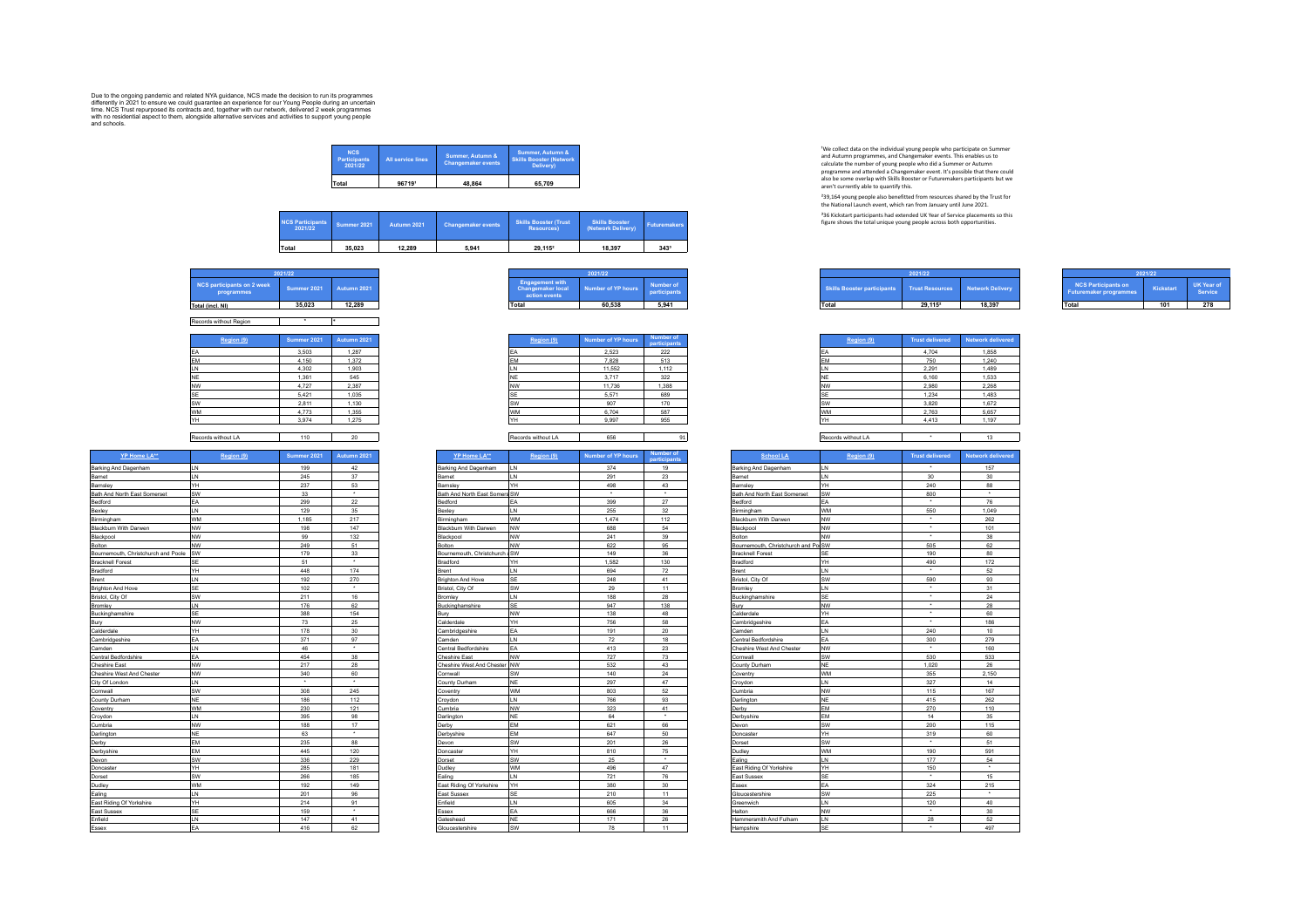Due to the ongoing pandemic and related NYA guidance, NCS made the decision to run its programmes<br>differently in 2021 to ensure we could guarantee an experience for our Young People during an uncertain time. NCS Trust repurposed its contracts and, together with our network, delivered 2 week programmes<br>with no residential aspect to them, alongside alternative services and activities to support young people<br>and schools.

| <b>NCS</b><br>Participants<br>2021/22 | All service lines | Summer, Autumn & | Summer, Autumn &<br>Skills Booster (Network<br>Delivery) | <sup>1</sup> We collect data on the individual young people who participate on Summer<br>and Autumn programmes, and Changemaker events. This enables us to<br>calculate the number of young people who did a Summer or Autumn<br>programme and attended a Changemaker event. It's possible that there could |
|---------------------------------------|-------------------|------------------|----------------------------------------------------------|-------------------------------------------------------------------------------------------------------------------------------------------------------------------------------------------------------------------------------------------------------------------------------------------------------------|
| Total                                 | 967191            | 48.864           | 65,709                                                   | also be some overlap with Skills Booster or Futuremakers participants but we<br>aren't currently able to quantify this.                                                                                                                                                                                     |

| <b>NCS Participants</b><br>2021/22 | Summer 2021 | Autumn 2021 | <b>Changemaker events</b> | <b>Skills Booster (Trust</b><br><b>Resources</b> ) | <b>Skills Booster</b><br>(Network Delivery) | <b>Futuremakers</b> |
|------------------------------------|-------------|-------------|---------------------------|----------------------------------------------------|---------------------------------------------|---------------------|
| <b>Total</b>                       | 35,023      | 12.289      | 5.941                     | 29.115 <sup>2</sup>                                | 18.397                                      | 343 <sup>3</sup>    |

| 2021/22                                         |             |             |  |  |  |  |  |  |  |  |  |
|-------------------------------------------------|-------------|-------------|--|--|--|--|--|--|--|--|--|
| <b>NCS participants on 2 week</b><br>programmes | Summer 2021 | Autumn 2021 |  |  |  |  |  |  |  |  |  |
| Total (incl. NI)                                | 35.023      | 12.289      |  |  |  |  |  |  |  |  |  |
| Records without Region                          |             |             |  |  |  |  |  |  |  |  |  |

| Region (9) | Summer 2021 | Autumn 2021 | Region (9) | <b>Number of YP hours</b> | Number of<br>participants |
|------------|-------------|-------------|------------|---------------------------|---------------------------|
| <b>IEA</b> | 3.503       | 1.287       |            | 2.523                     | 222                       |
| <b>EM</b>  | 4,150       | 1.372       |            | 7.828                     | 513                       |
| <b>ILN</b> | 4,302       | 1,903       |            | 11.552                    | 1,112                     |
| <b>INE</b> | 1.361       | 545         |            | 3.717                     | 322                       |
| <b>NW</b>  | 4.727       | 2.387       |            | 11.736                    | 1.388                     |
| <b>ISE</b> | 5.421       | 1.035       |            | 5.571                     | 689                       |
| <b>SW</b>  | 2.811       | 1.130       |            | 907                       | 170                       |
| <b>WM</b>  | 4.773       | 1.355       |            | 6.704                     | 587                       |
| l YH       | 3.974       | 1.275       |            | 9.997                     | 955                       |

Records without LA 110 20 Records without LA 656 91 Records without LA t 13 Records without LA 13

| YP Home LA**                        | Region (9) | Summer 2021          | Autumn 2021 | YP Home LA**                  | Region (9) | <b>Number of YP hours</b> | Number of<br>participant | <b>School LA</b>                    | Region (9) | <b>Trust delivered</b> | <b>Network deliv</b> |
|-------------------------------------|------------|----------------------|-------------|-------------------------------|------------|---------------------------|--------------------------|-------------------------------------|------------|------------------------|----------------------|
| Barking And Dagenham                | LN         | 199                  | 42          | Barking And Dagenham          | LN         | 374                       | 19                       | Barking And Dagenham                | LN.        | $\cdot$                | 157                  |
| Barnet                              | LN         | 245                  | 37          | Barnet                        | .N         | 291                       | 23                       | Barnet                              | LN         | 30 <sub>o</sub>        | 30                   |
| Barnsley                            | YH         | 237                  | 53          | <b>Barnsley</b>               | YH         | 498                       | 43                       | <b>Bamsley</b>                      | YH         | 240                    | 88                   |
| Bath And North East Somerset        | SW         | 33                   | $\bullet$   | Bath And North East Somers SW |            | $\cdot$                   | $\cdot$                  | Bath And North East Somerset        | <b>SW</b>  | 800                    | $\bullet$            |
| Bedford                             | FA         | 299                  | 22          | Bedford                       | FA         | 399                       | 27                       | Bedford                             | EA         | $\cdot$                | 76                   |
| Bexley                              | LN         | 129                  | 35          | Bexley                        | N          | 255                       | 32                       | Birmingham                          | <b>WM</b>  | 550                    | 1,049                |
| Birmingham                          | <b>WM</b>  | 1.185                | 217         | Birmingham                    | <b>WM</b>  | 1,474                     | 112                      | Blackburn With Darwen               | <b>NW</b>  | $\cdot$                | 262                  |
| Blackburn With Darwen               | NW         | 198                  | 147         | Blackburn With Darwen         | NW         | 688                       | 54                       | Blackpool                           | <b>NW</b>  | $\cdot$                | 101                  |
| Blackpool                           | NW         | 99                   | 132         | Blackpool                     | W          | 241                       | 39                       | Bolton                              | <b>NW</b>  | $\cdot$                | 38                   |
| Bolton                              | NW         | 249                  | 51          | Bolton                        | NW         | 622                       | 95                       | Bournemouth, Christchurch and PolSW |            | 505                    | 62                   |
| Bournemouth, Christchurch and Poole | <b>SW</b>  | 179                  | 33          | Bournemouth, Christchurch a   | lsw        | 149                       | 36                       | <b>Bracknell Forest</b>             | <b>SE</b>  | 190                    | 80                   |
| <b>Bracknell Forest</b>             | SF         | 51                   |             | Bradford                      | YH.        | 1.582                     | 130                      | Bradford                            | YH         | 490                    | 172                  |
| Bradford                            | YH         | 448                  | 174         | Brent                         | N          | 694                       | 72                       | Brent                               | LN         | $\ddot{\phantom{0}}$   | 52                   |
| Brent                               | LN         | 192                  | 270         | <b>Brighton And Hove</b>      | <b>SE</b>  | 248                       | 41                       | Bristol, City Of                    | sw         | 590                    | 93                   |
| <b>Brighton And Hove</b>            | <b>SE</b>  | 102                  | $\bullet$   | Bristol, City Of              | <b>SW</b>  | 29                        | 11                       | Bromley                             | LN.        | $\cdot$                | 31                   |
| Bristol, City Of                    | SW         | 211                  | 16          | Bromley                       | N.         | 188                       | 28                       | Buckinghamshire                     | <b>SE</b>  | $\cdot$                | 24                   |
| Bromley                             | LN         | 176                  | 62          | Buckinghamshire               | <b>SE</b>  | 947                       | 138                      | Bury                                | <b>NW</b>  | ٠                      | 28                   |
| Buckinghamshire                     | <b>SE</b>  | 388                  | 154         | Bury                          | <b>NW</b>  | 138                       | 48                       | Calderdale                          | YH         | $\cdot$                | 60                   |
| Bury                                | NW         | 73                   | 25          | Calderdale                    | YH         | 756                       | 58                       | Cambridgeshire                      | EA         | $\cdot$                | 186                  |
| Calderdale                          | YH         | 178                  | 30          | Cambridgeshire                | EA         | 191                       | 20                       | Camden                              | LN         | 240                    | 10                   |
| Cambridgeshire                      | lea.       | 371                  | 97          | Camden                        | LN         | 72                        | 18                       | Central Bedfordshire                | <b>EA</b>  | 300                    | 279                  |
| Camden                              | LN         | 46                   | $\cdot$     | Central Bedfordshire          | EA         | 413                       | 23                       | Cheshire West And Chester           | <b>NW</b>  | ٠                      | 160                  |
| Central Bedfordshire                | FA         | 454                  | 38          | <b>Cheshire East</b>          | <b>NW</b>  | 727                       | 73                       | Cornwall                            | <b>SW</b>  | 530                    | 533                  |
| Cheshire East                       | NW         | 217                  | 28          | Cheshire West And Chester     | <b>NW</b>  | 532                       | 43                       | County Durham                       | <b>NE</b>  | 1.020                  | 26                   |
| Cheshire West And Chester           | NW         | 340                  | 60          | Cornwall                      | SW         | 140                       | 24                       | Coventry                            | <b>WM</b>  | 355                    | 2,150                |
| City Of London                      | LN         | $\ddot{\phantom{1}}$ | $\cdot$     | County Durham                 | <b>NE</b>  | 297                       | 47                       | Croydon                             | LN         | 327                    | 14                   |
| Comwall                             | SW         | 308                  | 245         | Coventry                      | <b>WM</b>  | 803                       | 52                       | Cumbria                             | <b>NW</b>  | 115                    | 167                  |
| County Durham                       | NE.        | 186                  | 112         | Croydon                       | N.         | 766                       | 93                       | Darlington                          | NE         | 415                    | 262                  |
| Coventry                            | WM         | 230                  | 121         | Cumbria                       | NW         | 323                       | 41                       | Derby                               | <b>EM</b>  | 270                    | 110                  |
| Croydon                             | LN         | 395                  | 98          | Darlington                    | <b>NE</b>  | 64                        | $\bullet$                | Derbyshire                          | <b>EM</b>  | 14                     | 35                   |
| Cumbria                             | NW         | 188                  | 17          | Derby                         | <b>EM</b>  | 621                       | 66                       | Devon                               | SW         | 200                    | 115                  |
| Darlington                          | NF.        | 63                   | $\cdot$     | Derbyshire                    | EM         | 647                       | 50                       | Doncaster                           | YH.        | 319                    | 60                   |
| Derby                               | <b>FM</b>  | 235                  | 88          | Devon                         | <b>SW</b>  | 201                       | 26                       | Dorset                              | <b>SW</b>  | $\bullet$              | 51                   |
| Derbyshire                          | FM.        | 445                  | 120         | Doncaster                     | YH         | 810                       | 75                       | Dudley                              | <b>WM</b>  | 190                    | 591                  |
| Devon                               | SW         | 336                  | 229         | Dorset                        | <b>SW</b>  | 25                        | $\bullet$                | Ealing                              | LN.        | 177                    | 54                   |
| Doncaster                           | YH         | 285                  | 181         | Dudley                        | <b>WM</b>  | 496                       | 47                       | East Riding Of Yorkshire            | YH         | 150                    | $\bullet$            |
| Dorset                              | SW         | 266                  | 185         | Ealing                        | LN         | 721                       | 76                       | East Sussex                         | <b>SE</b>  | $\bullet$              | 15                   |
| Dudley                              | <b>WM</b>  | 192                  | 149         | East Riding Of Yorkshire      | YH.        | 380                       | 30                       | Essex                               | EA         | 324                    | 215                  |
| Ealing                              | LN         | 201                  | 96          | East Sussex                   | SF.        | 210                       | 11                       | Gloucestershire                     | SW         | 225                    | $\bullet$            |
| East Riding Of Yorkshire            | YH         | 214                  | 91          | Enfield                       | LN         | 605                       | 34                       | Greenwich                           | LN.        | 120                    | 40                   |
| East Sussex                         | SE         | 159                  | $\bullet$   | Essex                         | EA         | 666                       | 36                       | Halton                              | <b>NW</b>  | $\cdot$                | 30 <sub>o</sub>      |
| Enfield                             | LN         | 147                  | 41          | Gateshead                     | NE.        | 171                       | 26                       | Hammersmith And Fulham              | LN         | 28                     | 52                   |
|                                     |            | $\overline{1}$       | $\sim$      |                               | $\cdots$   | $\sim$                    | $\sim$                   |                                     | $\sim$     | $\sim$                 | 10 <sup>2</sup>      |

| <b>Engagement with</b><br><b>Changemaker local</b><br>action events | <b>Number of YP hours</b> | Number of<br>participants |
|---------------------------------------------------------------------|---------------------------|---------------------------|
| Total                                                               | 60.538                    | 5.941                     |
|                                                                     |                           |                           |

| Region (9) | <b>Number of YP hours</b> | Number of<br>participants |  |  |
|------------|---------------------------|---------------------------|--|--|
| EA         | 2.523                     | 222                       |  |  |
| <b>EM</b>  | 7.828                     | 513                       |  |  |
| LN         | 11.552                    | 1.112                     |  |  |
| <b>NE</b>  | 3.717                     | 322                       |  |  |
| <b>NW</b>  | 11.736                    | 1.388                     |  |  |
| <b>SE</b>  | 5.571                     | 689                       |  |  |
| SW         | 907                       | 170                       |  |  |
| <b>WM</b>  | 6.704                     | 587                       |  |  |
| YH         | 9.997                     | 955                       |  |  |

| YP Home LA**                        | Region (9) | Summer 2021 | Autumn 2021 | YP Home LA**                   | Region (9) | <b>Number of YP hours</b> | <b>NUMBER</b> OF<br>participants | <b>School LA</b>                    | Region (9) | <b>Trust delivered</b> | Network de |
|-------------------------------------|------------|-------------|-------------|--------------------------------|------------|---------------------------|----------------------------------|-------------------------------------|------------|------------------------|------------|
| Barking And Dagenham                | LN         | 199         | 42          | Barking And Dagenham           | LN.        | 374                       | 19                               | Barking And Dagenham                | LN         |                        | 157        |
| Barnet                              | LN         | 245         | 37          | Barnet                         | LN.        | 291                       | 23                               | Barnet                              | LN         | 30 <sup>°</sup>        | 30         |
| Barnsley                            | YH         | 237         | 53          | Barnsley                       | YH         | 498                       | 43                               | Barnsley                            | l YH       | 240                    |            |
| Bath And North East Somerset        | sw         | 33          | $\cdot$     | Bath And North East Somers SW  |            | $\ddot{\phantom{1}}$      | $\ddot{\phantom{1}}$             | Bath And North East Somerset        | lsw        | 800                    |            |
| Bedford                             | EA         | 299         | 22          | Bedford                        | FA         | 399                       | 27                               | Bedford                             | <b>FA</b>  | $\bullet$              | 76         |
| Bexley                              | LN.        | 129         | 35          | Bexley                         | .N         | 255                       | 32                               | Birmingham                          | <b>WM</b>  | 550                    | 1.04       |
| Birmingham                          | <b>WM</b>  | 1.185       | 217         | Birmingham                     | <b>WM</b>  | 1.474                     | 112                              | Blackburn With Darwen               | <b>NW</b>  |                        |            |
| Blackburn With Darwen               | <b>NW</b>  | 198         | 147         | Blackburn With Darwen          | <b>NW</b>  | 688                       | 54                               | Blackpool                           | <b>NW</b>  | $\bullet$              |            |
| Blackpool                           | <b>NW</b>  | 99          | 132         | Blackpool                      | <b>NW</b>  | 241                       | 39                               | Bolton                              | <b>NW</b>  | $\cdot$                |            |
| Bolton                              | <b>NW</b>  | 249         | 51          | Bolton                         | <b>NW</b>  | 622                       | 95                               | Bournemouth, Christchurch and PolSW |            | 505                    |            |
| Bournemouth, Christchurch and Poole | <b>SW</b>  | 179         | 33          | Bournemouth, Christchurch & SW |            | 149                       | 36                               | <b>Bracknell Forest</b>             | <b>SF</b>  | 190                    |            |
| <b>Bracknell Forest</b>             | <b>SE</b>  | 51          | $\cdot$     | Bradford                       | YH         | 1.582                     | 130                              | Bradford                            | <b>YH</b>  | 490                    |            |
| Bradford                            | YH         | 448         | 174         | Brent                          | LN.        | 694                       | 72                               | Brent                               | LN         | $\cdot$                |            |
| Brent                               | LN         | 192         | 270         | <b>Brighton And Hove</b>       | <b>SE</b>  | 248                       | 41                               | Bristol, City Of                    | <b>SW</b>  | 590                    |            |
| <b>Brighton And Hove</b>            | SE         | 102         | $\cdot$     | Bristol, City Of               | <b>SW</b>  | 29                        | 11                               | Bromley                             | IN.        | $\bullet$              |            |
| Bristol, City Of                    | sw         | 211         | 16          | <b>Bromley</b>                 | LN.        | 188                       | 28                               | Buckinghamshire                     | <b>SF</b>  | $\cdot$                |            |
| Bromley                             | IN.        | 176         | 62          | <b>Buckinghamshire</b>         | <b>SE</b>  | 947                       | 138                              | Bury                                | <b>NW</b>  | $\cdot$                |            |
| Buckinghamshire                     | <b>SE</b>  | 388         | 154         | Bury                           | <b>NW</b>  | 138                       | 48                               | Calderdale                          | <b>YH</b>  | $\cdot$                |            |
| Burv                                | <b>NW</b>  | 73          | 25          | Calderdale                     | YH         | 756                       | 58                               | Cambridgeshire                      | EA         | $\cdot$                |            |
| Calderdale                          | YH         | 178         | 30          | Cambridgeshire                 | EA         | 191                       | 20                               | Camden                              | IN.        | 240                    |            |
| Cambridgeshire                      | lea.       | 371         | 97          | Camden                         | LN.        | 72                        | 18                               | Central Bedfordshire                | FA         | 300                    |            |
| Camden                              | LN         | 46          | ٠           | Central Bedfordshire           | EA         | 413                       | 23                               | Cheshire West And Chester           | <b>NW</b>  | $\cdot$                |            |
| Central Bedfordshire                | lea.       | 454         | 38          | <b>Cheshire East</b>           | <b>NW</b>  | 727                       | 73                               | Cornwall                            | <b>SW</b>  | 530                    |            |
| Cheshire East                       | <b>NW</b>  | 217         | 28          | Cheshire West And Chester NW   |            | 532                       | 43                               | County Durham                       | <b>NE</b>  | 1.020                  |            |
| Cheshire West And Chester           | NW         | 340         | 60          | Cornwall                       | <b>SW</b>  | 140                       | 24                               | Coventry                            | <b>WM</b>  | 355                    | 2,15       |
| City Of London                      | LN.        | $\cdot$     | $\cdot$     | County Durham                  | <b>NE</b>  | 297                       | 47                               | Croydon                             | LN.        | 327                    |            |
| Cornwall                            | sw         | 308         | 245         | Coventry                       | <b>WM</b>  | 803                       | 52                               | Cumbria                             | <b>NW</b>  | 115                    |            |
| County Durham                       | <b>NE</b>  | 186         | 112         | Croydon                        | LN.        | 766                       | 93                               | Darlington                          | <b>NE</b>  | 415                    |            |
| Coventry                            | <b>WM</b>  | 230         | 121         | Cumbria                        | <b>NW</b>  | 323                       | 41                               | Derby                               | <b>FM</b>  | 270                    |            |
| Croydon                             | IN.        | 395         | 98          | Darlington                     | <b>NE</b>  | 64                        | $\ddot{\phantom{1}}$             | Derbyshire                          | <b>FM</b>  | 14                     |            |
| Cumbria                             | NW         | 188         | 17          | Derby                          | <b>FM</b>  | 621                       | 66                               | Devon                               | lsw        | 200                    |            |
| Darlington                          | <b>NE</b>  | 63          | ٠           | Derbyshire                     | <b>EM</b>  | 647                       | 50                               | Doncaster                           | <b>YH</b>  | 319                    |            |
| Derby                               | EM         | 235         | 88          | Devon                          | <b>SW</b>  | 201                       | 26                               | Dorset                              | <b>SW</b>  | $\bullet$              |            |
| Derbyshire                          | EM         | 445         | 120         | Doncaster                      | YH         | 810                       | 75                               | Dudley                              | <b>WM</b>  | 190                    |            |
| Devon                               | sw         | 336         | 229         | Dorset                         | <b>SW</b>  | 25                        | $\cdot$                          | Ealing                              | IN.        | 177                    |            |
| Doncaster                           | YH         | 285         | 181         | Dudley                         | <b>WM</b>  | 496                       | 47                               | East Riding Of Yorkshire            | <b>YH</b>  | 150                    |            |
| Dorset                              | sw         | 266         | 185         | Ealing                         | LN         | 721                       | 76                               | East Sussex                         | <b>SE</b>  | $\cdot$                |            |
| Dudley                              | <b>WM</b>  | 192         | 149         | East Riding Of Yorkshire       | YH         | 380                       | 30                               | Essex                               | EA         | 324                    |            |
| Ealing                              | LN         | 201         | 96          | East Sussex                    | <b>SE</b>  | 210                       | 11                               | Gloucestershire                     | lsw        | 225                    |            |
| East Riding Of Yorkshire            | YH         | 214         | 91          | Enfield                        | LN.        | 605                       | 34                               | Greenwich                           | IN.        | 120                    |            |
| East Sussex                         | İse        | 159         | $\cdot$     | Essex                          | EA         | 666                       | 36                               | Halton                              | <b>NW</b>  | $\bullet$              |            |
| Enfield                             | LN.        | 147         | 41          | <b>Gateshead</b>               | <b>NE</b>  | 171                       | 26                               | Hammersmith And Fulham              | LN         | 28                     |            |
| Essex                               | EA         | 416         | 62          | Gloucestershire                | <b>SW</b>  | 78                        | 11                               | Hampshire                           | <b>SF</b>  | $\cdot$                |            |
|                                     |            |             |             |                                |            |                           |                                  |                                     |            |                        |            |

²39,164 young people also benefitted from resources shared by the Trust for the National Launch event, which ran from January until June 2021.

³36 Kickstart participants had extended UK Year of Service placements so this figure shows the total unique young people across both opportunities.

|                                          |        |        |               |        |           |                             | 021/22 |                     |                         |                            |           |  |
|------------------------------------------|--------|--------|---------------|--------|-----------|-----------------------------|--------|---------------------|-------------------------|----------------------------|-----------|--|
| NCS participants on 2 week<br>programmes |        |        | action events |        | articipan | Skills Booster participants |        |                     | <b>Network Delivery</b> | <b>NCS Participants on</b> | Kickstart |  |
| Total (incl. NI)                         | 35,023 | 12,289 |               | 60,538 | 5,941     |                             |        | 29.115 <sup>2</sup> | 18,397                  | Tota                       | 101       |  |

|                                                      | 2021/22   |                              |  |  |  |  |  |  |
|------------------------------------------------------|-----------|------------------------------|--|--|--|--|--|--|
| <b>NCS Participants on</b><br>Futuremaker programmes | Kickstart | <b>UK Year of</b><br>Service |  |  |  |  |  |  |
|                                                      |           |                              |  |  |  |  |  |  |

| Summer 2021 | Autumn 2021 |
|-------------|-------------|
| 3.503       | 1.287       |
| 4.150       | 1.372       |
| 4,302       | 1,903       |
| 1.361       | 545         |
| 4.727       | 2.387       |
| 5.421       | 1,035       |
| 2.811       | 1,130       |
| 4.773       | 1.355       |
| 3.974       | 1.275       |

| YP Home LA**                        | Region (9) | Summer 2021 | Autumn 2021          | YP Home LA**                   | Region (9) | <b>Number of YP hours</b> | Number of<br>participants | <b>School LA</b>                    | Region (9) | <b>Trust delivered</b> | <b>Network delivered</b> |
|-------------------------------------|------------|-------------|----------------------|--------------------------------|------------|---------------------------|---------------------------|-------------------------------------|------------|------------------------|--------------------------|
| Barking And Dagenham                | LN         | 199         | 42                   | Barking And Dagenham           | LN         | 374                       | 19                        | Barking And Dagenham                | LN.        | $\bullet$              | 157                      |
| Barnet                              | LN         | 245         | 37                   | Barnet                         | LN         | 291                       | 23                        | Barnet                              | LN         | 30 <sup>°</sup>        | 30 <sup>°</sup>          |
| Barnsley                            | YH         | 237         | 53                   | Barnsley                       | YH         | 498                       | 43                        | Barnsley                            | YH         | 240                    | 88                       |
| Bath And North East Somerset        | <b>SW</b>  | 33          | $\bullet$            | Bath And North East Somers SW  |            | $\bullet$                 | $\ddot{\phantom{1}}$      | Bath And North East Somerset        | sw         | 800                    | $\bullet$                |
| Bedford                             | EA         | 299         | 22                   | Bedford                        | EA         | 399                       | 27                        | Bedford                             | EA         | $\bullet$              | 76                       |
| Bexley                              | LN         | 129         | 35                   | Bexlev                         | N          | 255                       | 32                        | <b>Birmingham</b>                   | <b>WM</b>  | 550                    | 1.049                    |
| Birmingham                          | <b>WM</b>  | 1.185       | 217                  | Birmingham                     | <b>WM</b>  | 1.474                     | 112                       | Blackburn With Darwen               | <b>NW</b>  | $\bullet$              | 262                      |
| Blackburn With Darwen               | <b>NW</b>  | 198         | 147                  | Blackburn With Darwen          | <b>NW</b>  | 688                       | 54                        | Blackpool                           | <b>NW</b>  | $\cdot$                | 101                      |
| Blackpool                           | <b>NW</b>  | 99          | 132                  | Blackpool                      | NW         | 241                       | 39                        | Bolton                              | <b>NW</b>  | $\cdot$                | 38                       |
| Bolton                              | <b>NW</b>  | 249         | 51                   | Rolton                         | <b>NW</b>  | 622                       | 95                        | Bournemouth, Christchurch and PolSW |            | 505                    | 62                       |
| Bournemouth, Christchurch and Poole | <b>Isw</b> | 179         | 33                   | Bournemouth, Christchurch & SW |            | 149                       | 36                        | <b>Bracknell Forest</b>             | <b>SE</b>  | 190                    | 80                       |
| <b>Bracknell Forest</b>             | <b>SE</b>  | 51          | ٠                    | Bradford                       | YH         | 1.582                     | 130                       | Bradford                            | YH         | 490                    | 172                      |
| Bradford                            | YH         | 448         | 174                  | Brent                          | LN         | 694                       | 72                        | Brent                               | LN.        | $\cdot$                | 52                       |
| Brent                               | LN.        | 192         | 270                  | <b>Brighton And Hove</b>       | <b>SE</b>  | 248                       | 41                        | Bristol, City Of                    | sw         | 590                    | 93                       |
| <b>Brighton And Hove</b>            | ls⊧        | 102         | $\bullet$            | Bristol, City Of               | <b>SW</b>  | 29                        | 11                        | Bromley                             | IN.        | $\bullet$              | 31                       |
| Bristol, City Of                    | <b>SW</b>  | 211         | 16                   | Bromley                        | LN.        | 188                       | 28                        | Buckinghamshire                     | <b>SE</b>  | $\cdot$                | 24                       |
| Bromley                             | IN.        | 176         | 62                   | Buckinghamshire                | SF         | 947                       | 138                       | Bury                                | <b>NW</b>  | ٠                      | 28                       |
| Buckinghamshire                     | SE         | 388         | 154                  | Bury                           | <b>NW</b>  | 138                       | 48                        | Calderdale                          | YH         | $\bullet$              | 60                       |
| Burv                                | <b>NW</b>  | 73          | 25                   | Calderdale                     | YH         | 756                       | 58                        | Cambridgeshire                      | FA         | $\cdot$                | 186                      |
| Calderdale                          | YH         | 178         | 30                   | Cambridgeshire                 | EA         | 191                       | 20                        | Camden                              | LN.        | 240                    | 10                       |
| Cambridgeshire                      | lea.       | 371         | 97                   | Camden                         | LN         | 72                        | 18                        | Central Bedfordshire                | EA         | 300                    | 279                      |
| Camden                              | LN.        | 46          | $\bullet$            | Central Bedfordshire           | EA         | 413                       | 23                        | Cheshire West And Chester           | <b>NW</b>  | $\bullet$              | 160                      |
| Central Bedfordshire                | EA         | 454         | 38                   | <b>Cheshire East</b>           | <b>NW</b>  | 727                       | 73                        | Cornwall                            | sw         | 530                    | 533                      |
| Cheshire East                       | <b>NW</b>  | 217         | 28                   | Cheshire West And Chester NW   |            | 532                       | 43                        | County Durham                       | <b>NE</b>  | 1,020                  | 26                       |
| Cheshire West And Chester           | <b>NW</b>  | 340         | 60                   | Cornwall                       | SW         | 140                       | 24                        | Coventry                            | <b>WM</b>  | 355                    | 2,150                    |
| City Of London                      | LN.        | $\sim$      | $\cdot$              | County Durham                  | <b>NE</b>  | 297                       | 47                        | Croydon                             | LN.        | 327                    | 14                       |
| Cornwall                            | sw         | 308         | 245                  | Coventry                       | <b>WM</b>  | 803                       | 52                        | Cumbria                             | <b>NW</b>  | 115                    | 167                      |
| County Durham                       | <b>NF</b>  | 186         | 112                  | Croydon                        | LN         | 766                       | 93                        | Darlington                          | <b>NE</b>  | 415                    | 262                      |
| Coventry                            | <b>WM</b>  | 230         | 121                  | Cumbria                        | <b>NW</b>  | 323                       | 41                        | Derby                               | <b>FM</b>  | 270                    | 110                      |
| Croydon                             | LN.        | 395         | 98                   | Darlington                     | <b>NE</b>  | 64                        | $\bullet$                 | Derbyshire                          | <b>FM</b>  | 14                     | 35                       |
| Cumbria                             | <b>NW</b>  | 188         | 17                   | Derby                          | <b>FM</b>  | 621                       | 66                        | Devon                               | sw         | 200                    | 115                      |
| Darlington                          | <b>NE</b>  | 63          | $\ddot{\phantom{0}}$ | Derbyshire                     | <b>FM</b>  | 647                       | 50                        | Doncaster                           | YH         | 319                    | 60                       |
| Derby                               | <b>FM</b>  | 235         | 88                   | Devon                          | <b>SW</b>  | 201                       | 26                        | Dorset                              | sw         | $\bullet$              | 51                       |
| Derbyshire                          | <b>EM</b>  | 445         | 120                  | Doncaster                      | YH.        | 810                       | 75                        | Dudley                              | <b>WM</b>  | 190                    | 591                      |
| Devon                               | <b>SW</b>  | 336         | 229                  | Dorset                         | SW         | 25                        | $\bullet$                 | Ealing                              | LN         | 177                    | 54                       |
| Doncaster                           | YH         | 285         | 181                  | Dudley                         | <b>WM</b>  | 496                       | 47                        | East Riding Of Yorkshire            | YH         | 150                    | $\bullet$                |
| Dorset                              | <b>SW</b>  | 266         | 185                  | Ealing                         | LN.        | 721                       | 76                        | East Sussex                         | <b>SE</b>  | $\cdot$                | 15                       |
| Dudley                              | <b>WM</b>  | 192         | 149                  | East Riding Of Yorkshire       | YH         | 380                       | 30 <sup>°</sup>           | Essex                               | EA         | 324                    | 215                      |
| Ealing                              | LN         | 201         | 96                   | East Sussex                    | SF         | 210                       | 11                        | Gloucestershire                     | sw         | 225                    | $\cdot$                  |
| East Riding Of Yorkshire            | YH         | 214         | 91                   | Enfield                        | LN         | 605                       | 34                        | Greenwich                           | LN.        | 120                    | 40                       |
| East Sussex                         | <b>SE</b>  | 159         | $\cdot$              | Essex                          | EA         | 666                       | 36                        | lalton                              | <b>NW</b>  | $\cdot$                | 30 <sup>°</sup>          |
| Enfield                             | LN.        | 147         | 41                   | Gateshead                      | <b>NE</b>  | 171                       | 26                        | Hammersmith And Fulham              | LN         | 28                     | 52                       |
| Essex                               | FΔ         | 416         | 62                   | Gloucestershire                | SW         | 78                        | 11                        | Hamnshire                           | SE         | $\cdot$                | 497                      |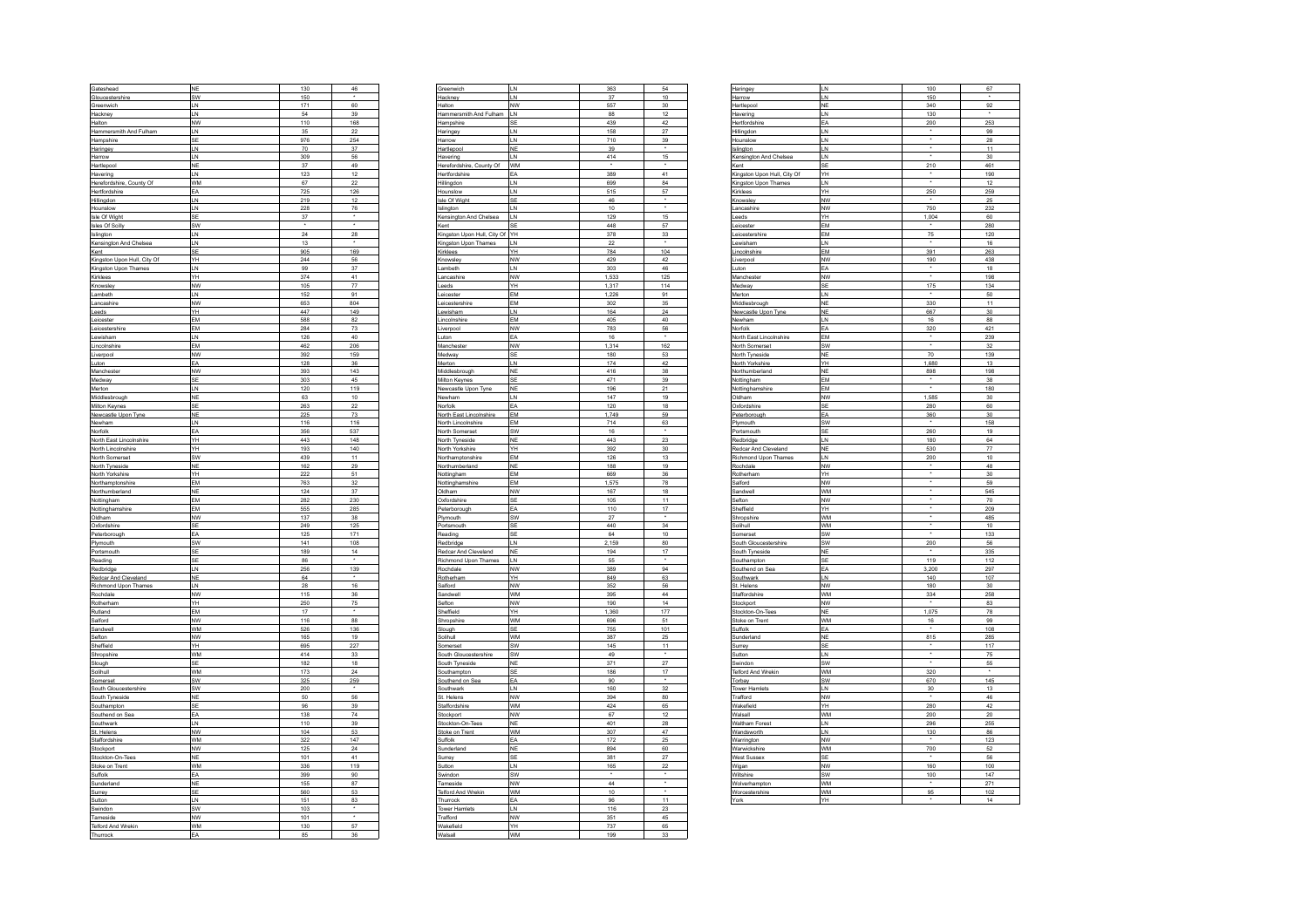| Gateshead                                     | NE         | 130       | 46                   | Greenwich                      | <b>LN</b> | 363      | 54                   | Haringey                    | LN.       | 100                      | 67                 |
|-----------------------------------------------|------------|-----------|----------------------|--------------------------------|-----------|----------|----------------------|-----------------------------|-----------|--------------------------|--------------------|
| Gloucestershire                               | sw         | 150       |                      | Hackney                        | LN        | 37       | 10                   | Harrow                      | LN        | 150                      | $\bullet$          |
| Greenwich                                     |            | 171       | 60                   |                                |           | 557      |                      |                             |           |                          | 92                 |
|                                               | LN         |           |                      | Halton                         | NW        |          | 30                   | Hartlepool                  | NE        | 340                      |                    |
|                                               | lı N       | 54        | 39                   | Hammersmith And Fulham         |           | 88       | 12                   | Havering                    | II N      | 130                      | $\overline{\cdot}$ |
|                                               | NW         | 110       | 168                  | Hampshire                      | <b>SE</b> | 439      | 42                   | Hertfordshire               | EA        | 200                      | 253                |
|                                               |            |           |                      |                                | IN.       | 158      |                      |                             | IN.       |                          |                    |
| Hammersmith And Fulham                        | LN.        | 35        | 22                   | Haringey                       |           |          | 27                   | Hillingdon                  |           |                          | 99                 |
|                                               | SE         | 976       | 254                  | Harrow                         | LN        | 710      | 39                   | Hounslow                    | LN.       | $\cdot$                  | 28                 |
|                                               | LN         | 70        | 37                   | Hartlepool                     | <b>NE</b> | 39       | $\bullet$            | Islington                   | LN        | $\cdot$                  | $11 -$             |
|                                               | LN         |           | 56                   |                                | LN.       | 414      | 15                   |                             | LN        | $\bullet$                | 30                 |
|                                               |            | 309       |                      | Havering                       |           |          |                      | Kensington And Chelsea      |           |                          |                    |
|                                               | NE         | 37        | 49                   | Herefordshire, County Of       | <b>WM</b> |          |                      | Kent                        | <b>SE</b> | 210                      | 461                |
|                                               | ILN.       | 123       | 12                   | Hertfordshire                  | EA        | 389      | 41                   | Kingston Upon Hull, City Of | lүн       |                          | 190                |
| Herefordshire, County Of                      | WM         | 67        | $22\,$               | Hillingdon                     | LN        | 699      | 84                   | Kingston Upon Thames        | LN        | $\bullet$                | 12                 |
|                                               |            |           |                      |                                |           |          |                      |                             |           |                          |                    |
|                                               | <b>IEA</b> | 725       | 126                  | Hounslow                       | LN        | 515      | 57                   | Kirklees                    | IYH.      | 250                      | 259                |
|                                               | LN.        | 219       | 12                   | Isle Of Wight                  | <b>SE</b> | 46       | $\bullet$            | Knowsley                    | <b>NW</b> |                          | 25                 |
|                                               | LN         | 228       | 76                   | Islington                      | LN.       | 10       | $\ddot{\phantom{1}}$ | Lancashire                  | NW        | 750                      | 232                |
|                                               | SF         |           |                      |                                | IN.       | 129      | 15                   |                             | lүн.      | 1.004                    | 60                 |
|                                               |            | 37        |                      | Kensington And Chelsea         |           |          |                      | Leeds                       |           |                          |                    |
|                                               | sw         | $\bullet$ | $\ddot{\phantom{0}}$ | Kent                           |           | 448      | 57                   | Leicester                   | EM        | $\cdot$                  | 280                |
|                                               | LN         | $\bf 24$  | ${\bf 28}$           | Kingston Upon Hull, City Of YH |           | 378      | 33                   | Leicestershire              | <b>EM</b> | 75                       | 120                |
| Kensington And Chelsea                        | LN         | 13        | $\bullet$            | Kingston Upon Thames           | LN.       | $\bf 22$ | $\bullet$            | Lewisham                    | LN.       |                          | 16                 |
|                                               |            |           |                      |                                |           |          |                      |                             |           |                          |                    |
|                                               | SE         | 905       | 169                  | Kirklees                       | YH        | 784      | 104                  | Lincolnshire                | EM        | 391                      | 263                |
| Kingston Upon Hull, City Of                   | YH         | 244       | 56                   | Knowsley                       | <b>NW</b> | 429      | 42                   | Liverpool                   | <b>NW</b> | 190                      | 438                |
| Kingston Upon Thames                          | LN.        | 99        | 37                   | Lambeth                        | LN        | 303      | 46                   | Luton                       | EA        |                          | 18                 |
|                                               |            |           |                      |                                |           |          |                      |                             |           | $\overline{\cdot}$       |                    |
|                                               | lүн        | 374       | 41                   | Lancashire                     | <b>NW</b> | 1.533    | 125                  | Manchester                  | <b>NW</b> |                          | 198                |
|                                               | <b>NW</b>  | 105       | 77                   | Leeds                          | YH        | 1,317    | 114                  | Medway                      | SE        | 175                      | 134                |
|                                               | ILN.       | 152       | 91                   | Leicester                      | <b>EM</b> | 1.226    | 91                   | Merton                      | LN.       |                          | 50                 |
|                                               | <b>NW</b>  | 653       | 804                  | Leicestershire                 | <b>FM</b> | 302      | 35                   | Middlesbrough               | <b>NF</b> | 330                      | 11                 |
|                                               |            |           |                      |                                |           |          |                      |                             |           |                          |                    |
|                                               | YH         | 447       | 149                  | Lewisham                       | LN        | 164      | 24                   | Newcastle Upon Tyne         | <b>NE</b> | 667                      | 30 <sub>2</sub>    |
|                                               | Ієм        | 588       | 82                   | Lincolnshire                   | <b>EM</b> | 405      | 40                   | Newham                      | LN.       | 16                       | 88                 |
|                                               | lem.       | 284       | 73                   | Liverpool                      | <b>NW</b> | 783      | 56                   | Norfolk                     | EA        | 320                      | 421                |
|                                               |            |           |                      |                                |           |          |                      |                             |           |                          |                    |
|                                               | LN         | 126       | $40\,$               | Luton                          | EA        | 16       |                      | North East Lincolnshire     | EM        |                          | 239                |
|                                               | Ієм        | 462       | 206                  | Manchester                     | <b>NW</b> | 1.314    | 162                  | North Somerset              | sw        |                          | 32                 |
|                                               | <b>NW</b>  | 392       | 159                  | Medway                         | SE        | 180      | 53                   | North Tyneside              | NE        | 70                       | 139                |
|                                               | EA         | 128       | 36                   | Merton                         | LN        | 174      | 42                   | North Yorkshire             | lүн       | 1.680                    | 13                 |
|                                               |            |           |                      |                                |           | 416      |                      |                             |           |                          |                    |
|                                               | NW         | 393       | 143                  | Middlesbrough                  | <b>NE</b> |          | 38                   | Northumberland              | <b>NE</b> | 898                      | 198                |
|                                               | lse        | 303       | 45                   | Milton Keynes                  | <b>SE</b> | 471      | 39                   | Nottingham                  | EM        |                          | 38                 |
|                                               | LN.        | 120       | 119                  | Newcastle Upon Tyne            | <b>NE</b> | 196      | 21                   | Nottinghamshire             | EM        | $\bullet$                | 180                |
|                                               | NE         | 63        | $10$                 | Newham                         | LN        | 147      | 19                   | Oldham                      | <b>NW</b> | 1,585                    | 30 <sup>°</sup>    |
|                                               | lse        | 263       | 22                   |                                |           | 120      | 18                   | Oxfordshire                 | <b>SE</b> | 280                      | 60                 |
|                                               |            |           |                      | Norfolk                        | EA        |          |                      |                             |           |                          |                    |
| Newcastle Upon Tyne                           | NE         | 225       | 73                   | North East Lincolnshire        | EM        | 1,749    | 59                   | Peterborough                | EA        | 360                      | 30 <sub>2</sub>    |
|                                               | LN         | 116       | 116                  | North Lincolnshire             | <b>EM</b> | 714      | 63                   | Plymouth                    | lsw       |                          | 158                |
|                                               | EA         | 356       | 537                  | North Somerset                 | <b>SW</b> | 16       |                      | Portsmouth                  | SE        | 260                      | 19                 |
|                                               |            |           |                      |                                |           |          | $23\,$               |                             |           |                          |                    |
| North East Lincolnshire<br>North Lincolnshire | YH         | 443       | 148                  | North Tyneside                 | NE        | 443      |                      | Redbridge                   | LN        | 180                      | 64                 |
|                                               | l YH       | 193       | 140                  | North Yorkshire                | YH        | 392      | 30                   | Redcar And Cleveland        | <b>NE</b> | 530                      | 77                 |
|                                               | sw         | 439       | 11                   | Northamptonshire               | <b>EM</b> | 126      | 13                   | Richmond Upon Thames        | LN        | 200                      | 10                 |
|                                               | NE         | 162       | 29                   | Northumberland                 | <b>NE</b> | 188      | 19                   | Rochdale                    | NW        |                          | 48                 |
|                                               |            |           |                      |                                |           |          |                      |                             |           |                          |                    |
|                                               | YH         | 222       | 51                   | Nottingham                     | <b>FM</b> | 669      | 36                   | Rotherham                   | YH        |                          | 30                 |
| Northamptonshire                              | EM.        | 763       | 32                   | Nottinghamshire                | EM.       | 1,575    | 78                   | Salford                     | <b>NW</b> |                          | 59                 |
| Northumberland                                | <b>NE</b>  | 124       | 37                   | Oldham                         | <b>NW</b> | 167      | 18                   | Sandwell                    | <b>WM</b> | $\overline{\phantom{a}}$ | 545                |
|                                               | EM         | 282       | 230                  | Oxfordshire                    | SE        | 105      | 11                   | Sefton                      | NW        | $\bullet$                | 70                 |
| Nottinghamshire                               |            |           |                      |                                |           |          |                      |                             |           |                          |                    |
|                                               | Ієм        | 555       | 285                  | Peterborough                   | EA        | 110      | 17                   | Sheffield                   | YH.       |                          | 209                |
|                                               | NW         | 137       | 38                   | Plymouth                       | <b>SW</b> | 27       | $\bullet$            | Shropshire                  | WM.       | $\bullet$                | 485                |
|                                               | SE         | 249       | 125                  | Portsmouth                     | SE        | 440      | 34                   | Solihull                    | WM        | $\cdot$                  | 10                 |
|                                               | <b>EA</b>  | 125       | 171                  |                                | SF        | 64       | 10                   | Somerset                    | SW        |                          | 133                |
|                                               |            |           |                      | Reading                        |           |          |                      |                             |           |                          |                    |
|                                               | sw         | 141       | 108                  | Redbridge                      | LN.       | 2,159    | 80                   | South Gloucestershire       | SW        | 200                      | 56                 |
|                                               | <b>SE</b>  | 189       | 14                   | Redcar And Cleveland           | <b>NE</b> | 194      | 17                   | South Tyneside              | <b>NE</b> |                          | 335                |
|                                               | lse        | 86        | $\bullet$            | Richmond Upon Thames           | IN.       | 55       | $\bullet$            | Southampton                 | <b>SE</b> | 119                      | 112                |
|                                               | LN         | 256       | 139                  | Rochdale                       | <b>NW</b> | 389      | 94                   | Southend on Sea             | EA        | 3,200                    | 297                |
|                                               |            |           |                      |                                |           |          |                      |                             |           |                          |                    |
| Redcar And Cleveland                          | NE         | 64        | $\bullet$            | Rotherham                      | YH        | 849      | 63                   | Southwark                   | LN        | 140                      | 107                |
| Richmond Upon Thames                          | LN         | 28        | $16\,$               | Salford                        | NW        | 352      | 56                   | St. Helens                  | NW        | 180                      | 30 <sub>o</sub>    |
|                                               | <b>NW</b>  | 115       | 36                   | Sandwell                       | <b>WM</b> | 395      | 44                   | Staffordshire               | <b>WM</b> | 334                      | 258                |
|                                               | YH         | 250       | 75                   | Sefton                         | NW        | 190      | 14                   | Stockport                   | NW        |                          | 83                 |
|                                               |            |           | $\ddot{\phantom{1}}$ |                                |           |          |                      |                             |           |                          |                    |
|                                               | EM.        | 17        |                      | Sheffield                      | YH        | 1.360    | 177                  | Stockton-On-Tees            | <b>NE</b> | 1,075                    | 78                 |
|                                               | <b>NW</b>  | 116       | 88                   | Shropshire                     | <b>WM</b> | 696      | 51                   | Stoke on Trent              | <b>WM</b> | 16                       | 99                 |
|                                               | WM         | 526       | 136                  | Slough                         | <b>SE</b> | 755      | 101                  | Suffolk                     | EA        |                          | 108                |
|                                               | <b>NW</b>  | 165       | 19                   | Solihull                       | <b>WM</b> | 387      | 25                   | Sunderland                  | <b>NE</b> | 815                      | 285                |
|                                               |            |           |                      |                                |           |          |                      |                             |           | $\bullet$                |                    |
|                                               | YH.        | 695       | 227                  | Somerset                       | <b>SW</b> | 145      | 11                   | Surrey                      | SE        |                          | 117                |
|                                               | <b>WM</b>  | 414       | 33                   | South Gloucestershire          | <b>SW</b> | 49       |                      | Sutton                      | LN        |                          | 75                 |
|                                               | SE         | 182       | 18                   | South Tyneside                 | <b>NE</b> | 371      | 27                   | Swindon                     | sw        |                          | 55                 |
|                                               | <b>WM</b>  | 173       | 24                   | Southampton                    | SE        | 186      | 17                   | <b>Telford And Wrekin</b>   | <b>WM</b> | 320                      | $\bullet$          |
|                                               |            | 325       | 259                  |                                |           |          |                      |                             | <b>SW</b> | 670                      | 145                |
|                                               | SW         |           |                      | Southend on Sea                | EA        | 90       |                      | Torbay                      |           |                          |                    |
| South Gloucestershire                         | sw         | 200       | $\bullet$            | Southwark                      | LN        | 160      | 32                   | <b>Tower Hamlets</b>        | LN        | 30 <sub>o</sub>          | 13                 |
|                                               | <b>NE</b>  | 50        | 56                   | St. Helens                     | <b>NW</b> | 394      | 80                   | Trafford                    | <b>NW</b> |                          | 46                 |
|                                               | SE         | 96        | 39                   | Staffordshire                  | <b>WM</b> | 424      | 65                   | Wakefield                   | YH        | 280                      | 42                 |
|                                               |            |           | 74                   |                                |           | 67       | 12                   |                             |           |                          |                    |
|                                               | EA         | 138       |                      | Stockport                      | NW        |          |                      | Walsall                     | WM        | 200                      | 20                 |
|                                               | lı n       | 110       | 39                   | Stockton-On-Tees               | <b>NF</b> | 401      | 28                   | <b>Waltham Forest</b>       | IN.       | 296                      | 255                |
|                                               | NW         | 104       | 53                   | Stoke on Trent                 | WM        | 307      | 47                   | Wandsworth                  | LN        | 130                      | 86                 |
|                                               | <b>WM</b>  | 322       | 147                  | Suffolk                        | EA        | 172      | 25                   | Warrington                  | <b>NW</b> |                          | 123                |
|                                               |            |           |                      |                                |           |          |                      |                             |           |                          |                    |
| Stockton-On-Tees                              | NW         | 125       | 24                   | Sunderland                     | <b>NE</b> | 894      | 60                   | Warwickshire                | <b>WM</b> | 700                      | 52                 |
|                                               | NE         | 101       | 41                   | Surrey                         | SE        | 381      | $27\,$               | West Sussex                 | SE        |                          | 56                 |
|                                               | lwm        | 336       | 119                  | Sutton                         | LN.       | 165      | 22                   | Wigan                       | <b>NW</b> | 160                      | 100                |
|                                               | EA.        | 399       | 90                   | Swindon                        | <b>SW</b> |          |                      | Wiltshire                   | <b>SW</b> | 100                      | 147                |
|                                               |            |           |                      |                                |           |          | $\cdot$              |                             |           |                          |                    |
|                                               | <b>NE</b>  | 155       | 87                   | Tameside                       | <b>NW</b> | 44       |                      | Wolverhampton               | <b>WM</b> |                          | 271                |
|                                               | SE         | 560       | 53                   | Telford And Wrekin             | <b>WM</b> | 10       | $\bullet$            | Worcestershire              | <b>WM</b> | 95                       | 102                |
|                                               | LN.        | 151       | 83                   | Thurrock                       | EA        | 96       | 11                   | York                        | lүн       |                          | 14                 |
|                                               | lsw        | 103       |                      | <b>Tower Hamlets</b>           | IN.       | 116      | 23                   |                             |           |                          |                    |
|                                               | NW         | 101       | $\cdot$              | Trafford                       | <b>NW</b> | 351      | 45                   |                             |           |                          |                    |
|                                               |            |           |                      |                                |           |          |                      |                             |           |                          |                    |
|                                               |            |           |                      |                                |           |          |                      |                             |           |                          |                    |
| <b>Telford And Wrekin</b>                     | lwm.       | 130       | 57                   | Wakefield                      | YH        | 737      | 65                   |                             |           |                          |                    |

| Gateshead                   | <b>NE</b> | 130       | 46             | Greenwich                      | LN        | 363   | 54                       |
|-----------------------------|-----------|-----------|----------------|--------------------------------|-----------|-------|--------------------------|
| Gloucestershire             | sw        | 150       |                | Hackney                        | LN        | 37    | 10                       |
| Greenwich                   | IN.       | 171       | 60             | Halton                         | <b>NW</b> | 557   | 30                       |
|                             |           |           |                |                                |           |       |                          |
| Hackney                     | LN        | 54        | 39             | Hammersmith And Fulham         | LN        | 88    | 12                       |
| Halton                      | <b>NW</b> | 110       | 168            | Hampshire                      | <b>SE</b> | 439   | 42                       |
| Hammersmith And Fulham      | LN        | 35        | $22\,$         | Haringey                       | LN        | 158   | 27                       |
| Hampshire                   | SE        | 976       | 254            | Harrow                         | LN        | 710   | 39                       |
|                             | IN.       |           | 37             |                                |           |       | ٠                        |
| Haringey                    |           | 70        |                | Hartlepool                     | NF        | 39    |                          |
| Harrow                      | LN        | 309       | 56             | Havering                       | LN        | 414   | 15                       |
| Hartlepool                  | <b>NE</b> | 37        | 49             | Herefordshire, County Of       | <b>WM</b> |       |                          |
| Havering                    | LN        | 123       | 12             | Hertfordshire                  | EA        | 389   | 41                       |
|                             |           |           |                |                                |           |       |                          |
| Herefordshire, County Of    | <b>WM</b> | 67        | 22             | Hillingdon                     | LN        | 699   | 84                       |
| Hertfordshire               | FA        | 725       | 126            | Hounslow                       | IN.       | 515   | 57                       |
| Hillingdon                  | $LN$      | 219       | 12             | Isle Of Wight                  | <b>SE</b> | 46    | ٠                        |
| Hounslow                    | LN        |           | 76             |                                |           |       | ÷                        |
|                             |           | 228       |                | Islington                      | LN        | 10    |                          |
| Isle Of Wight               | <b>SE</b> | 37        | ٠              | Kensington And Chelsea         | LN        | 129   | 15                       |
| Isles Of Scilly             | sw        | $\bullet$ |                | Kent                           | <b>SE</b> | 448   | 57                       |
| Islington                   | LN        | 24        | 28             | Kingston Upon Hull, City Of YH |           | 378   | 33                       |
|                             | IN.       |           |                |                                | lı N      |       | ٠                        |
| Kensington And Chelsea      |           | 13        |                | Kingston Upon Thames           |           | 22    |                          |
| Kent                        | <b>SE</b> | 905       | 169            | Kirklees                       | YH        | 784   | 104                      |
| Kingston Upon Hull, City Of | YH        | 244       | 56             | Knowsley                       | <b>NW</b> | 429   | 42                       |
| Kingston Upon Thames        | LN        | 99        | 37             | Lambeth                        | LN        | 303   | 46                       |
|                             | YH        |           | 41             |                                | <b>NW</b> | 1.533 | 125                      |
| Kirklees                    |           | 374       |                | Lancashire                     |           |       |                          |
| Knowsley                    | NW        | 105       | $\frac{77}{2}$ | Leeds                          | YH        | 1,317 | 114                      |
| Lambeth                     | LN        | 152       | 91             | Leicester                      | EM        | 1,226 | 91                       |
| Lancashire                  | <b>NW</b> | 653       | 804            | Leicestershire                 | <b>EM</b> | 302   | 35                       |
|                             |           |           |                |                                |           |       |                          |
| Leeds                       | YH        | 447       | 149            | Lewisham                       | LN        | 164   | 24                       |
| Leicester                   | EM        | 588       | 82             | Lincolnshire                   | EM        | 405   | 40                       |
| Leicestershire              | <b>FM</b> | 284       | 73             | Liverpool                      | <b>NW</b> | 783   | 56                       |
| Lewisham                    | LN        | 126       | 40             | Luton                          | EA        | 16    | $\bullet$                |
|                             |           |           |                |                                |           |       |                          |
| Lincolnshire                | EM        | 462       | 206            | Manchester                     | <b>NW</b> | 1.314 | 162                      |
| Liverpool                   | <b>NW</b> | 392       | 159            | Medway                         | <b>SE</b> | 180   | 53                       |
| Luton                       | EA        | 128       | 36             | Merton                         | LN        | 174   | 42                       |
| Manchester                  | <b>NW</b> | 393       | 143            |                                | <b>NE</b> | 416   | 38                       |
|                             |           |           |                | Middlesbrough                  |           |       |                          |
| Medway                      | <b>SE</b> | 303       | 45             | Milton Keynes                  | <b>SE</b> | 471   | 39                       |
| Merton                      | LN        | 120       | 119            | Newcastle Upon Tyne            | NE        | 196   | 21                       |
| Middlesbrough               | <b>NE</b> | 63        | 10             | Newham                         | LN        | 147   | 19                       |
|                             |           |           |                |                                |           |       |                          |
| Milton Keynes               | <b>SE</b> | 263       | 22             | Norfolk                        | EA        | 120   | 18                       |
| Newcastle Upon Tyne         | <b>NE</b> | 225       | 73             | North East Lincolnshire        | <b>EM</b> | 1,749 | 59                       |
| Newham                      | LN        | 116       | 116            | North Lincolnshire             | EM        | 714   | 63                       |
| Norfolk                     | EA        | 356       | 537            | North Somerset                 | sw        | 16    | ٠                        |
|                             |           |           |                |                                |           |       |                          |
| North East Lincolnshire     | YH        | 443       | 148            | North Tyneside                 | NE        | 443   | 23                       |
| North Lincolnshire          | YH        | 193       | 140            | North Yorkshire                | YH        | 392   | 30                       |
| North Somerset              | sw        | 439       | 11             | Northamptonshire               | EM        | 126   | 13                       |
| North Tyneside              | NE        | 162       | 29             | Northumberland                 | <b>NE</b> | 188   | 19                       |
|                             |           |           |                |                                |           |       |                          |
| North Yorkshire             | YH        | 222       | 51             | Nottingham                     | EM        | 669   | 36                       |
| Northamptonshire            | EM        | 763       | 32             | Nottinghamshire                | EM        | 1,575 | 78                       |
| Northumberland              | <b>NE</b> | 124       | 37             | Oldham                         | <b>NW</b> | 167   | 18                       |
| Nottingham                  | EM        | 282       | 230            |                                | <b>SE</b> | 105   | 11                       |
|                             |           |           |                | Oxfordshire                    |           |       |                          |
| Nottinghamshire             | EM        | 555       | 285            | Peterborough                   | EA        | 110   | 17                       |
| Oldham                      | <b>NW</b> | 137       | 38             | Plymouth                       | <b>SW</b> | 27    | ٠                        |
| Oxfordshire                 | <b>SE</b> | 249       | 125            | Portsmouth                     | <b>SE</b> | 440   | 34                       |
|                             |           |           |                |                                |           |       |                          |
| Peterborough                | EA        | 125       | 171            | Reading                        | SE        | 64    | 10                       |
| Plymouth                    | sw        | 141       | 108            | Redbridge                      | LN        | 2.159 | 80                       |
| Portsmouth                  | <b>SE</b> | 189       | 14             | Redcar And Cleveland           | NE        | 194   | 17                       |
| Reading                     | SE        | 86        | $\cdot$        | Richmond Upon Thames           | LN        | 55    | $\overline{\phantom{a}}$ |
|                             | IN.       | 256       | 139            |                                | <b>NW</b> | 389   | 94                       |
| Redbridge                   |           |           |                | Rochdale                       |           |       |                          |
| Redcar And Cleveland        | <b>NE</b> | 64        | $\bullet$      | Rotherham                      | YH        | 849   | 63                       |
| Richmond Upon Thames        | LN        | 28        | 16             | Salford                        | NW        | 352   | 56                       |
| Rochdale                    | <b>NW</b> | 115       | 36             | Sandwell                       | <b>WM</b> | 395   | 44                       |
| Rotherham                   | YH        | 250       | 75             | Sefton                         | <b>NW</b> | 190   | 14                       |
|                             |           |           |                |                                |           |       |                          |
| Rutland                     | <b>FM</b> | 17        |                | Sheffield                      | lүн       | 1,360 | 177                      |
| Salford                     | <b>NW</b> | 116       | 88             | Shropshire                     | <b>WM</b> | 696   | 51                       |
| Sandwell                    | <b>WM</b> | 526       | 136            | Slough                         | <b>SE</b> | 755   | 101                      |
| Sefton                      | <b>NW</b> | 165       | 19             | Solihull                       | <b>WM</b> | 387   | 25                       |
|                             |           |           |                |                                |           |       |                          |
| Sheffield                   | YH        | 695       | 227            | Somerset                       | sw        | 145   | 11<br>τ                  |
| Shropshire                  | <b>WM</b> | 414       | 33             | South Gloucestershire          | <b>SW</b> | 49    |                          |
| Slough                      | SE        | 182       | 18             | South Tyneside                 | <b>NE</b> | 371   | $27\,$                   |
| Solihull                    | <b>WM</b> | 173       | 24             | Southampton                    | <b>SE</b> | 186   | 17                       |
|                             |           | 325       | 259            |                                |           |       | 7                        |
| Somerset                    | <b>SW</b> |           |                | Southend on Sea                | EA        | 90    |                          |
| South Gloucestershire       | sw        | 200       | ٠              | Southwark                      | LN        | 160   | 32                       |
| South Tyneside              | <b>NE</b> | 50        | 56             | <b>St. Helens</b>              | <b>NW</b> | 394   | 80                       |
| <b>Southampton</b>          | SE        | 96        | 39             | Staffordshire                  | <b>WM</b> | 424   | 65                       |
|                             |           |           |                |                                |           |       |                          |
| Southend on Sea             | EA        | 138       | 74             | Stockport                      | <b>NW</b> | 67    | 12                       |
| Southwark                   | LN        | 110       | 39             | Stockton-On-Tees               | NE        | 401   | 28                       |
| St. Helens                  | NW        | 104       | 53             | Stoke on Trent                 | <b>WM</b> | 307   | 47                       |
| Staffordshire               | <b>WM</b> | 322       | 147            | Suffolk                        | EA        | 172   | 25                       |
|                             |           |           |                |                                |           |       |                          |
| Stockport                   | <b>NW</b> | 125       | 24             | Sunderland                     | NF        | 894   | 60                       |
| Stockton-On-Tees            | <b>NE</b> | 101       | 41             | Surrey                         | <b>SE</b> | 381   | 27                       |
| Stoke on Trent              | <b>WM</b> | 336       | 119            | Sutton                         | LN        | 165   | $22\phantom{.0}$         |
|                             |           |           |                |                                |           | ٠     | ٠                        |
| Suffolk                     | EA        | 399       | 90             | Swindon                        | sw        |       | ÷                        |
| Sunderland                  | NE        | 155       | 87             | Tameside                       | NW        | 44    |                          |
| Surrey                      | SF        | 560       | 53             | <b>Telford And Wrekin</b>      | <b>WM</b> | 10    | τ                        |
| Sutton                      | LN        | 151       | 83             | Thurrock                       | EA        | 96    | 11                       |
| Swindon                     | SW        | 103       |                | <b>Tower Hamlets</b>           | LN        | 116   | 23                       |
|                             |           |           |                |                                |           |       |                          |
| Tameside                    | <b>NW</b> | 101       |                | Trafford                       | <b>NW</b> | 351   | 45                       |
|                             | <b>WM</b> | 130       | 57             | Wakefield                      | YH        | 737   | 65                       |
| Telford And Wrekin          |           |           |                |                                |           |       |                          |

| Gateshead                   | NE             | 130 | $46\,$             | Greenwich                      | LN        | 363    | 54                       | Haringey                    | LN        | 100                      | 67              |
|-----------------------------|----------------|-----|--------------------|--------------------------------|-----------|--------|--------------------------|-----------------------------|-----------|--------------------------|-----------------|
|                             |                |     |                    |                                |           |        |                          |                             |           |                          |                 |
| Gloucestershire             | lsw            | 150 |                    | Hackney                        | <b>LN</b> | 37     | 10                       | Harrow                      | LN.       | 150                      |                 |
| Greenwich                   | LN             | 171 | 60                 | Halton                         | <b>NW</b> | 557    | 30                       | Hartlepool                  | NE        | 340                      | 92              |
| Hackney                     | lı n           | 54  | 39                 | Hammersmith And Fulham         | IN.       | 88     | 12                       | Havering                    | LN.       | 130                      |                 |
|                             |                |     |                    |                                |           |        |                          |                             |           |                          |                 |
| Halton                      | <b>NW</b>      | 110 | 168                | Hampshire                      | SE        | 439    | 42                       | Hertfordshire               | EA        | 200                      | 253             |
| Hammersmith And Fulham      | LN.            | 35  | $22\,$             | Haringey                       | LN        | 158    | 27                       | Hillingdon                  | LN.       |                          | 99              |
| Hampshire                   | lse            | 976 | 254                | Harrow                         | LN.       | 710    | 39                       | Hounslow                    | <b>LN</b> | $\cdot$                  | 28              |
|                             |                |     |                    |                                |           |        | $\overline{\phantom{a}}$ |                             |           | 7                        |                 |
| Haringey                    | ILN.           | 70  | 37                 | Hartlepool                     | NE        | 39     |                          | Islington                   | LN.       |                          | 11              |
| Harrow                      | LN.            | 309 | 56                 | Havering                       | LN.       | 414    | 15                       | Kensington And Chelsea      | LN.       | $\cdot$                  | 30 <sub>o</sub> |
| Hartlepool                  | NE             | 37  | 49                 | Herefordshire, County Of       | <b>WM</b> |        | $\bullet$                | Kent                        | <b>SE</b> | 210                      | 461             |
|                             |                |     |                    |                                |           |        |                          |                             |           |                          |                 |
| Havering                    | LN.            | 123 | $12\,$             | Hertfordshire                  | EA        | 389    | 41                       | Kingston Upon Hull, City Of | YH        |                          | 190             |
| Herefordshire, County Of    | lwm            | 67  | $22\,$             | Hillingdon                     | LN        | 699    | 84                       | Kingston Upon Thames        | LN        |                          | 12              |
|                             | <b>EA</b>      | 725 | 126                | Hounslow                       | LN        | 515    | 57                       | Kirklees                    | lүн.      | 250                      | 259             |
| Hertfordshire               |                |     |                    |                                |           |        | $\sim$                   |                             |           |                          |                 |
| Hillingdon                  | LN             | 219 | 12                 | <b>Isle Of Wight</b>           | <b>SE</b> | 46     |                          | Knowsley                    | <b>NW</b> | $\bullet$                | 25              |
| Hounslow                    | ILN.           | 228 | 76                 | Islington                      | LN.       | 10     | $\overline{\phantom{a}}$ | Lancashire                  | <b>NW</b> | 750                      | 232             |
| Isle Of Wight               | İse            | 37  | $\bullet$          | Kensington And Chelsea         | LN        | 129    | 15                       | Leeds                       | YH        | 1,004                    | 60              |
|                             |                |     | $\overline{\cdot}$ |                                |           | 448    | 57                       |                             | <b>FM</b> |                          |                 |
| Isles Of Scilly             | sw             |     |                    | Kent                           | <b>SF</b> |        |                          | Leicester                   |           |                          | 280             |
| Islington                   | LN             | 24  | 28                 | Kingston Upon Hull, City Of YH |           | 378    | 33                       | Leicestershire              | <b>EM</b> | 75                       | 120             |
| Kensington And Chelsea      | ILN.           | 13  |                    | Kingston Upon Thames           | <b>LN</b> | 22     |                          | Lewisham                    | LN.       |                          | 16              |
|                             | İse            | 905 | 169                |                                |           | 784    | 104                      |                             |           | 391                      |                 |
| Kent                        |                |     |                    | Kirklees                       | YH        |        |                          | Lincolnshire                | EM        |                          | 263             |
| Kingston Upon Hull, City Of | lүн            | 244 | 56                 | Knowsley                       | <b>NW</b> | 429    | 42                       | Liverpool                   | <b>NW</b> | 190                      | 438             |
| Kingston Upon Thames        | ILN.           | 99  | $37\,$             | Lambeth                        | LN        | 303    | 46                       | Luton                       | EA        |                          | 18              |
|                             |                |     |                    |                                |           |        |                          |                             |           |                          |                 |
| Kirklees                    | <b>YH</b>      | 374 | 41                 | Lancashire                     | <b>NW</b> | 1,533  | 125                      | Manchester                  | <b>NW</b> |                          | 198             |
| Knowsley                    | <b>NW</b>      | 105 | $77\,$             | Leeds                          | YH        | 1,317  | 114                      | Medway                      | <b>SE</b> | 175                      | 134             |
| Lambeth                     | LN.            | 152 | 91                 | Leicester                      | EM        | 1,226  | 91                       | Merton                      | LN.       |                          | 50              |
|                             |                |     |                    |                                |           |        |                          |                             |           |                          |                 |
| Lancashire                  | NW             | 653 | 804                | Leicestershire                 | EM        | 302    | 35                       | Middlesbrough               | NE        | 330                      | 11              |
| Leeds                       | lүн            | 447 | 149                | Lewisham                       | LN.       | 164    | 24                       | Newcastle Upon Tyne         | NE        | 667                      | 30              |
| Leicester                   | EM             | 588 | 82                 | Lincolnshire                   | EM        | 405    | 40                       | Newham                      | <b>LN</b> | 16                       | 88              |
|                             | Ієм            | 284 |                    |                                | <b>NW</b> | 783    | 56                       | Norfolk                     |           |                          |                 |
| Leicestershire              |                |     | 73                 | Liverpool                      |           |        |                          |                             | EA        | 320                      | 421             |
| Lewisham                    | ILN.           | 126 | 40                 | Luton                          | EA        | 16     | $\ddot{\phantom{1}}$     | North East Lincolnshire     | <b>EM</b> |                          | 239             |
| Lincolnshire                | EM             | 462 | 206                | Manchester                     | NW        | 1,314  | 162                      | North Somerset              | sw        |                          | 32              |
|                             |                |     |                    |                                |           |        |                          |                             |           |                          |                 |
| Liverpool                   | <b>NW</b>      | 392 | 159                | Medway                         | <b>SF</b> | 180    | 53                       | North Tyneside              | NF        | 70                       | 139             |
| Luton                       | EA             | 128 | 36                 | Merton                         | LN        | 174    | 42                       | North Yorkshire             | YH        | 1.680                    | 13              |
| Manchester                  | <b>NW</b>      | 393 | 143                | Middlesbrough                  | <b>NE</b> | 416    | 38                       | Northumberland              | <b>NE</b> | 898                      | 198             |
|                             | İse            |     |                    |                                | <b>SE</b> | 471    | 39                       |                             |           | $\bullet$                |                 |
| Medway                      |                | 303 | $45\,$             | Milton Keynes                  |           |        |                          | Nottingham                  | EM        |                          | 38              |
| Merton                      | LN             | 120 | 119                | Newcastle Upon Tyne            | <b>NE</b> | 196    | 21                       | Nottinghamshire             | <b>EM</b> |                          | 180             |
| Middlesbrough               | NE             | 63  | $10$               | Newham                         | LN        | 147    | 19                       | Oldham                      | NW        | 1,585                    | $30\,$          |
|                             |                |     |                    |                                |           |        |                          |                             |           |                          |                 |
| Milton Keynes               | <b>SE</b>      | 263 | $22\,$             | Norfolk                        | FA        | 120    | 18                       | Oxfordshire                 | <b>SF</b> | 280                      | 60              |
| Newcastle Upon Tyne         | NE             | 225 | 73                 | North East Lincolnshire        | EM        | 1,749  | 59                       | Peterborough                | EA        | 360                      | 30              |
| Newham                      | LN <sub></sub> | 116 | 116                | North Lincolnshire             | <b>EM</b> | 714    | 63                       | Plymouth                    | <b>SW</b> |                          | 158             |
|                             |                |     |                    |                                |           |        |                          |                             |           |                          |                 |
| Norfolk                     | lea.           | 356 | 537                | North Somerset                 | <b>SW</b> | $16\,$ |                          | Portsmouth                  | <b>SE</b> | 260                      | 19              |
| North East Lincolnshire     | lyh.           | 443 | 148                | North Tyneside                 | <b>NE</b> | 443    | 23                       | Redbridge                   | LN.       | 180                      | 64              |
| North Lincolnshire          | lүн            | 193 | 140                | North Yorkshire                | YH        | 392    | 30                       | Redcar And Cleveland        | NE        | 530                      | 77              |
|                             |                | 439 |                    |                                |           |        |                          |                             |           |                          |                 |
| North Somerset              | <b>SW</b>      |     | 11                 | Northamptonshire               | <b>EM</b> | 126    | 13                       | Richmond Upon Thames        | LN.       | 200                      | 10              |
| North Tyneside              | NE             | 162 | 29                 | Northumberland                 | <b>NE</b> | 188    | 19                       | Rochdale                    | NW        | $\overline{\phantom{a}}$ | 48              |
| North Yorkshire             | YH             | 222 | 51                 | Nottingham                     | EM        | 669    | 36                       | Rotherham                   | YH        | $\bullet$                | 30              |
|                             | Ієм            |     | 32                 |                                | EM        |        |                          |                             | <b>NW</b> | $\cdot$                  | 59              |
| Northamptonshire            |                | 763 |                    | Nottinghamshire                |           | 1,575  | 78                       | Salford                     |           |                          |                 |
| Northumberland              | NE             | 124 | 37                 | Oldham                         | <b>NW</b> | 167    | 18                       | Sandwell                    | <b>WM</b> | $\bullet$                | 545             |
| Nottingham                  | <b>EM</b>      | 282 | 230                | Oxfordshire                    | <b>SE</b> | 105    | 11                       | Sefton                      | <b>NW</b> | .,                       | 70              |
|                             |                |     |                    |                                |           |        |                          |                             |           | $\ddot{\phantom{1}}$     |                 |
| Nottinghamshire             | EM             | 555 | 285                | Peterborough                   | EA        | 110    | 17                       | Sheffield                   | YH        |                          | 209             |
| Oldham                      | <b>NW</b>      | 137 | 38                 | Plymouth                       | <b>SW</b> | 27     |                          | Shropshire                  | <b>WM</b> | $\ddot{\phantom{1}}$     | 485             |
| Oxfordshire                 | SE             | 249 | 125                | Portsmouth                     | SE        | 440    | 34                       | Solihull                    | WM        | $\bullet$                | 10              |
|                             |                |     | 171                |                                |           |        |                          |                             |           |                          | 133             |
| Peterborough                | <b>FA</b>      | 125 |                    | Reading                        | <b>SF</b> | 64     | 10                       | Somerset                    | <b>SW</b> |                          |                 |
| Plymouth                    | sw             | 141 | 108                | Redbridge                      | LN        | 2,159  | 80                       | South Gloucestershire       | sw        | 200                      | 56              |
| Portsmouth                  | lse            | 189 | 14                 | Redcar And Cleveland           | <b>NE</b> | 194    | 17                       | South Tyneside              | <b>NE</b> |                          | 335             |
|                             |                |     | $\bullet$          |                                |           |        | $\bullet$                |                             |           |                          |                 |
| Reading                     | lse            | 86  |                    | Richmond Upon Thames           | LN        | 55     |                          | Southampton                 | SE        | 119                      | 112             |
| Redbridge                   | LN             | 256 | 139                | Rochdale                       | <b>NW</b> | 389    | 94                       | Southend on Sea             | EA        | 3,200                    | 297             |
| Redcar And Cleveland        | NE             | 64  | $\cdot$            | Rotherham                      | YH        | 849    | 63                       | Southwark                   | <b>LN</b> | 140                      | 107             |
| Richmond Upon Thames        | ILN.           | 28  | 16                 | Salford                        | <b>NW</b> | 352    | 56                       | St. Helens                  | <b>NW</b> | 180                      | 30              |
|                             |                |     |                    |                                |           |        |                          |                             |           |                          |                 |
| Rochdale                    | NW             | 115 | $36\,$             | Sandwell                       | <b>WM</b> | 395    | 44                       | Staffordshire               | WM        | 334                      | 258             |
| Rotherham                   | l YH           | 250 | 75                 | Sefton                         | NW        | 190    | 14                       | Stockport                   | <b>NW</b> |                          | 83              |
| Rutland                     | lем            | 17  |                    | Sheffield                      | YH        | 1.360  | 177                      | Stockton-On-Tees            | NE        | 1.075                    | 78              |
|                             |                |     |                    |                                |           |        |                          |                             |           |                          |                 |
| Salford                     | <b>NW</b>      | 116 | 88                 | Shropshire                     | <b>WM</b> | 696    | 51                       | Stoke on Trent              | <b>WM</b> | 16                       | 99              |
| Sandwell                    | lwm            | 526 | 136                | Slough                         | <b>SE</b> | 755    | 101                      | Suffolk                     | EA        |                          | 108             |
|                             | <b>NW</b>      | 165 | 19                 | Solihull                       | <b>WM</b> | 387    | 25                       |                             | NE        | 815                      | 285             |
| Sefton                      |                |     |                    |                                |           |        |                          | Sunderland                  |           |                          |                 |
| Sheffield                   | <b>YH</b>      | 695 | 227                | Somerset                       | <b>SW</b> | 145    | 11                       | Surrey                      | <b>SF</b> |                          | 117             |
| Shropshire                  | lwm            | 414 | 33 <sup>°</sup>    | South Gloucestershire          | sw        | 49     | $\bullet$                | Sutton                      | LN        | $\bullet$                | $75\,$          |
|                             | <b>SF</b>      | 182 | 18                 |                                | <b>NF</b> | 371    | 27                       | Swindon                     | lsw       | ≂                        | 55              |
| Slough                      |                |     |                    | South Tyneside                 |           |        |                          |                             |           |                          |                 |
| Solihull                    | <b>WM</b>      | 173 | 24                 | Southampton                    | SE        | 186    | 17                       | <b>Telford And Wrekin</b>   | <b>WM</b> | 320                      | ٠               |
| Somerset                    | lsw            | 325 | 259                | Southend on Sea                | EA        | 90     |                          | Torbay                      | <b>SW</b> | 670                      | 145             |
| South Gloucestershire       | sw             | 200 | $\cdot$            | Southwark                      | LN.       | 160    | 32                       | <b>Tower Hamlets</b>        | LN        | 30 <sub>o</sub>          | 13              |
|                             |                |     |                    |                                |           |        |                          |                             |           |                          |                 |
| South Tyneside              | <b>NE</b>      | 50  | 56                 | St. Helens                     | NW        | 394    | 80                       | Trafford                    | NW        |                          | 46              |
| Southampton                 | <b>SE</b>      | 96  | 39                 | Staffordshire                  | <b>WM</b> | 424    | 65                       | Wakefield                   | YH.       | 280                      | 42              |
|                             | <b>EA</b>      | 138 | 74                 |                                | <b>NW</b> | 67     | 12                       | Walsall                     | <b>WM</b> |                          |                 |
| Southend on Sea             |                |     |                    | Stockport                      |           |        |                          |                             |           | 200                      | 20              |
| Southwark                   | ILN.           | 110 | 39                 | Stockton-On-Tees               | <b>NE</b> | 401    | 28                       | Waltham Forest              | LN        | 296                      | 255             |
| St. Helens                  | <b>NW</b>      | 104 | 53                 | Stoke on Trent                 | <b>WM</b> | 307    | 47                       | Wandsworth                  | LN        | 130                      | 86              |
|                             |                |     |                    |                                |           |        |                          |                             |           |                          |                 |
| Staffordshire               | lwm            | 322 | 147                | Suffolk                        | EA        | 172    | 25                       | Warrington                  | <b>NW</b> |                          | 123             |
| Stockport                   | <b>NW</b>      | 125 | 24                 | Sunderland                     | <b>NE</b> | 894    | 60                       | Warwickshire                | <b>WM</b> | 700                      | 52              |
| Stockton-On-Tees            | <b>NE</b>      | 101 | 41                 | Surrey                         | <b>SE</b> | 381    | 27                       | <b>West Sussex</b>          | <b>SE</b> |                          | 56              |
|                             |                |     |                    |                                |           |        |                          |                             |           |                          |                 |
| Stoke on Trent              | <b>WM</b>      | 336 | 119                | Sutton                         | LN        | 165    | $22\,$                   | Wigan                       | NW        | 160                      | 100             |
| Suffolk                     | <b>FA</b>      | 399 | 90                 | Swindon                        | <b>SW</b> |        |                          | Wiltshire                   | sw        | 100                      | 147             |
| Sunderland                  | NE             | 155 | 87                 | Tameside                       | NW        | 44     | $\bullet$                | Wolverhampton               | WM        |                          | 271             |
|                             |                |     |                    |                                |           |        | $\overline{\phantom{a}}$ |                             |           |                          |                 |
| Surrey                      | lse            | 560 | 53                 | Telford And Wrekin             | <b>WM</b> | 10     |                          | Worcestershire              | <b>WM</b> | 95                       | 102             |
| Sutton                      | LN.            | 151 | 83                 | Thurrock                       | EA        | 96     | 11                       | York                        | YH.       | $\ddot{\phantom{0}}$     | 14              |
|                             |                |     |                    |                                |           |        |                          |                             |           |                          |                 |